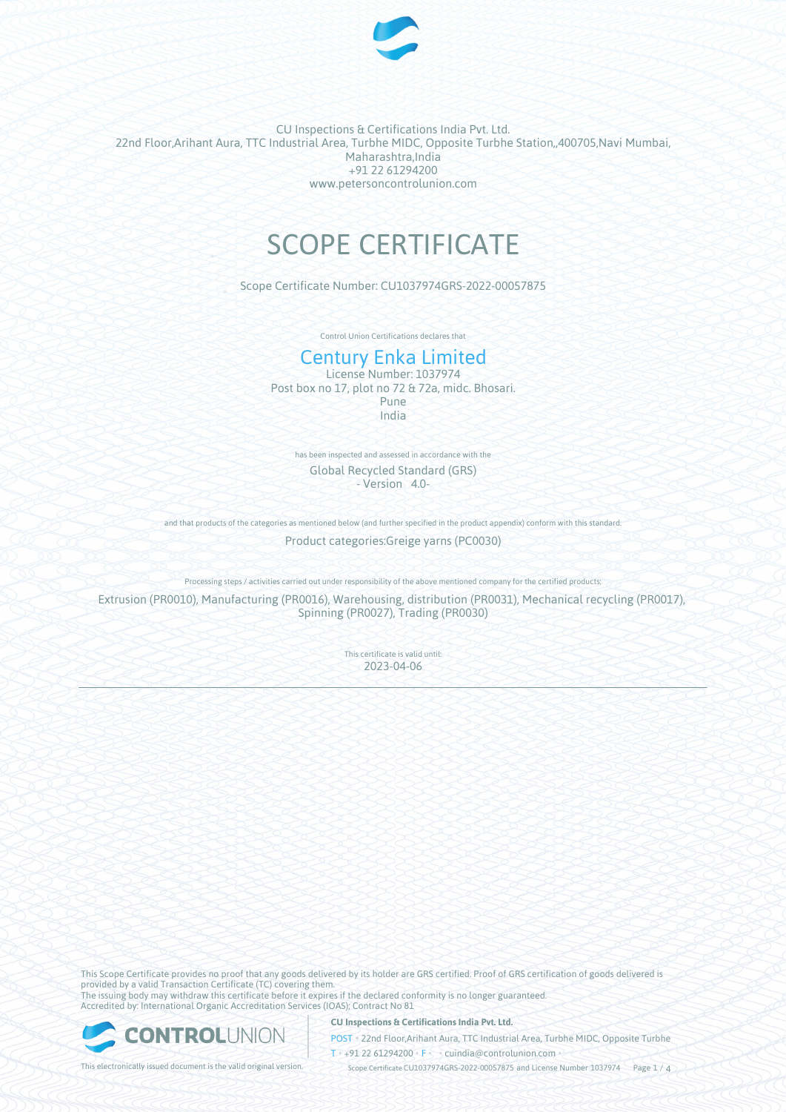

CU Inspections & Certifications India Pvt. Ltd. 22nd Floor,Arihant Aura, TTC Industrial Area, Turbhe MIDC, Opposite Turbhe Station,,400705,Navi Mumbai, Maharashtra,India +91 22 61294200 www.petersoncontrolunion.com

# SCOPE CERTIFICATE

Scope Certificate Number: CU1037974GRS-2022-00057875

Control Union Certifications declares that

# Century Enka Limited

License Number: 1037974 Post box no 17, plot no 72 & 72a, midc. Bhosari. Pune India

has been inspected and assessed in accordance with the Global Recycled Standard (GRS) - Version 4.0-

and that products of the categories as mentioned below (and further specified in the product appendix) conform with this standard

Product categories:Greige yarns (PC0030)

Processing steps / activities carried out under responsibility of the above mentioned company for the certified products:

Extrusion (PR0010), Manufacturing (PR0016), Warehousing, distribution (PR0031), Mechanical recycling (PR0017), Spinning (PR0027), Trading (PR0030)

> This certificate is valid until: 2023-04-06

This Scope Certificate provides no proof that any goods delivered by its holder are GRS certified. Proof of GRS certification of goods delivered is provided by a valid Transaction Certificate (TC) covering them. The issuing body may withdraw this certificate before it expires if the declared conformity is no longer guaranteed. Accredited by: International Organic Accreditation Services (IOAS); Contract No 81



**CU Inspections & Certifications India Pvt. Ltd.**

POST • 22nd Floor,Arihant Aura, TTC Industrial Area, Turbhe MIDC, Opposite Turbhe  $T* + 91 22 61294200$  **F**  $\cdot$  cuindia @controlunion.com •

This electronically issued document is the valid original version. Scope Certificate CU1037974GRS-2022-00057875 and License Number 1037974 Page 1 / 4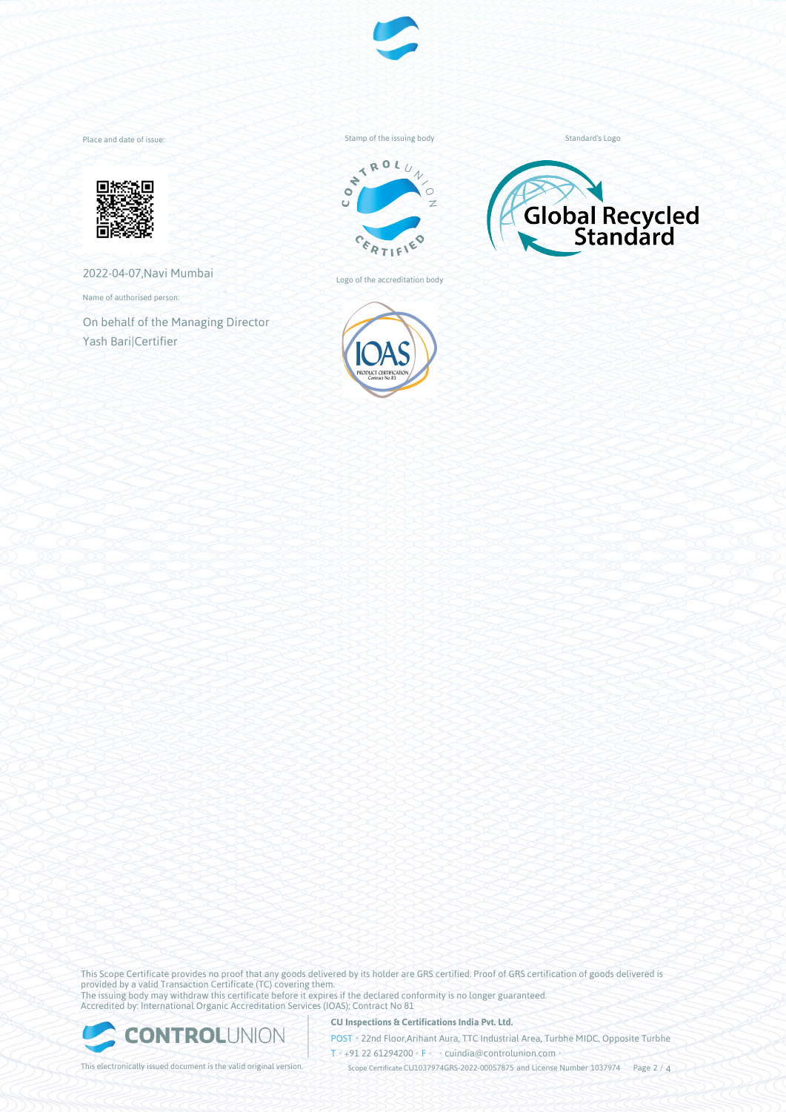

Place and date of issue:



2022-04-07,Navi Mumbai

Name of authorised person:

On behalf of the Managing Director Yash Bari|Certifier

Stamp of the issuing body



Logo of the accreditation body



Standard's Logo



This Scope Certificate provides no proof that any goods delivered by its holder are GRS certified. Proof of GRS certification of goods delivered is provided by a valid Transaction Certificate (TC) covering them. The issuing body may withdraw this certificate before it expires if the declared conformity is no longer guaranteed. Accredited by: International Organic Accreditation Services (IOAS); Contract No 81



**CU Inspections & Certifications India Pvt. Ltd.**

POST • 22nd Floor,Arihant Aura, TTC Industrial Area, Turbhe MIDC, Opposite Turbhe  $T \rightarrow 91 22 61294200$  **F** cuindia@controlunion.com •

This electronically issued document is the valid original version. Scope Certificate CU1037974GRS-2022-00057875 and License Number 1037974 Page 2 / 4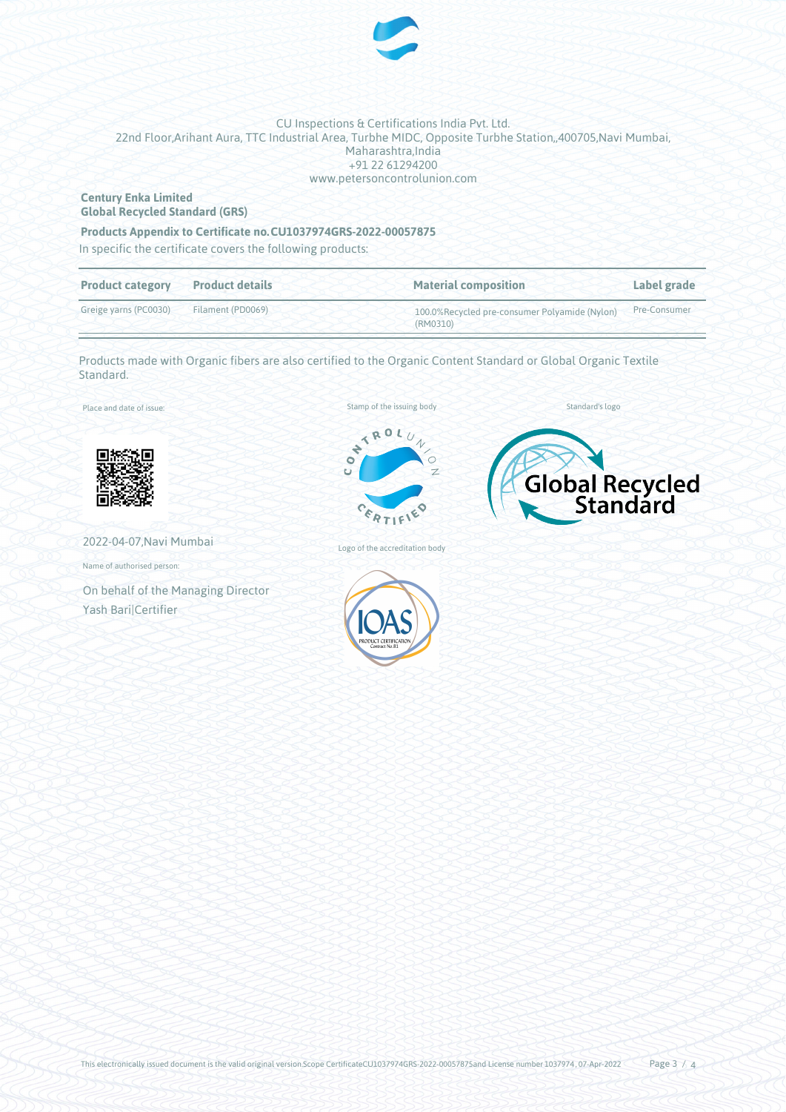

### CU Inspections & Certifications India Pvt. Ltd. 22nd Floor,Arihant Aura, TTC Industrial Area, Turbhe MIDC, Opposite Turbhe Station,,400705,Navi Mumbai, Maharashtra,India +91 22 61294200 www.petersoncontrolunion.com

#### **Century Enka Limited Global Recycled Standard (GRS)**

# **Products Appendix to Certificate no.CU1037974GRS-2022-00057875**

In specific the certificate covers the following products:

| <b>Product category</b> | <b>Product details</b> | <b>Material composition</b>                               | Label grade  |
|-------------------------|------------------------|-----------------------------------------------------------|--------------|
| Greige yarns (PC0030)   | Filament (PD0069)      | 100.0%Recycled pre-consumer Polyamide (Nylon)<br>(RM0310) | Pre-Consumer |

Products made with Organic fibers are also certified to the Organic Content Standard or Global Organic Textile Standard.

Place and date of issue:



2022-04-07,Navi Mumbai

Name of authorised person:

On behalf of the Managing Director Yash Bari|Certifier



Global Recycled

Standard's logo



Logo of the accreditation body